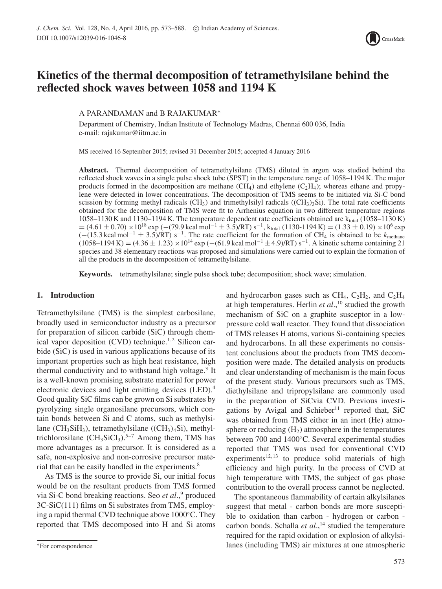

# **Kinetics of the thermal decomposition of tetramethylsilane behind the reflected shock waves between 1058 and 1194 K**

# A PARANDAMAN and B RAJAKUMAR<sup>∗</sup>

Department of Chemistry, Indian Institute of Technology Madras, Chennai 600 036, India e-mail: rajakumar@iitm.ac.in

MS received 16 September 2015; revised 31 December 2015; accepted 4 January 2016

**Abstract.** Thermal decomposition of tetramethylsilane (TMS) diluted in argon was studied behind the reflected shock waves in a single pulse shock tube (SPST) in the temperature range of 1058–1194 K. The major products formed in the decomposition are methane  $(CH_4)$  and ethylene  $(C_2H_4)$ ; whereas ethane and propylene were detected in lower concentrations. The decomposition of TMS seems to be initiated via Si-C bond scission by forming methyl radicals (CH<sub>3</sub>) and trimethylsilyl radicals ((CH<sub>3</sub>)<sub>3</sub>Si). The total rate coefficients obtained for the decomposition of TMS were fit to Arrhenius equation in two different temperature regions 1058–1130 K and 1130–1194 K. The temperature dependent rate coefficients obtained are  $k_{total}$  (1058–1130 K)  $= (4.61 \pm 0.70) \times 10^{18}$  exp  $(-(79.9 \text{ kcal mol}^{-1} \pm 3.5)/RT)$  s<sup>-1</sup>, k<sub>total</sub> (1130-1194 K) = (1.33 ± 0.19) ×10<sup>6</sup> exp  $(- (15.3 \text{ kcal mol}^{-1} \pm 3.5)/RT)$  s<sup>-1</sup>. The rate coefficient for the formation of CH<sub>4</sub> is obtained to be  $k_{\text{methane}}$  $(1058-1194 \text{ K}) = (4.36 \pm 1.23) \times 10^{14} \text{ exp} (-61.9 \text{ kcal mol}^{-1} \pm 4.9)/RT) \text{ s}^{-1}$ . A kinetic scheme containing 21 species and 38 elementary reactions was proposed and simulations were carried out to explain the formation of all the products in the decomposition of tetramethylsilane.

**Keywords.** tetramethylsilane; single pulse shock tube; decomposition; shock wave; simulation.

# **1. Introduction**

Tetramethylsilane (TMS) is the simplest carbosilane, broadly used in semiconductor industry as a precursor for preparation of silicon carbide (SiC) through chemical vapor deposition (CVD) technique.<sup>1,2</sup> Silicon carbide (SiC) is used in various applications because of its important properties such as high heat resistance, high thermal conductivity and to withstand high voltage.<sup>3</sup> It is a well-known promising substrate material for power electronic devices and light emitting devices (LED).4 Good quality SiC films can be grown on Si substrates by pyrolyzing single organosilane precursors, which contain bonds between Si and C atoms, such as methylsilane (CH<sub>3</sub>SiH<sub>3</sub>), tetramethylsilane ((CH<sub>3</sub>)<sub>4</sub>Si), methyltrichlorosilane  $(CH_3SiCl_3)$ .<sup>5–7</sup> Among them, TMS has more advantages as a precursor. It is considered as a safe, non-explosive and non-corrosive precursor material that can be easily handled in the experiments.<sup>8</sup>

As TMS is the source to provide Si, our initial focus would be on the resultant products from TMS formed via Si-C bond breaking reactions. Seo *et al.*,<sup>9</sup> produced 3C-SiC(111) films on Si substrates from TMS, employing a rapid thermal CVD technique above 1000◦C. They reported that TMS decomposed into H and Si atoms and hydrocarbon gases such as  $CH_4$ ,  $C_2H_2$ , and  $C_2H_4$ at high temperatures. Herlin *et al.*,<sup>10</sup> studied the growth mechanism of SiC on a graphite susceptor in a lowpressure cold wall reactor. They found that dissociation of TMS releases H atoms, various Si-containing species and hydrocarbons. In all these experiments no consistent conclusions about the products from TMS decomposition were made. The detailed analysis on products and clear understanding of mechanism is the main focus of the present study. Various precursors such as TMS, diethylsilane and tripropylsilane are commonly used in the preparation of SiCvia CVD. Previous investigations by Avigal and Schieber<sup>11</sup> reported that, SiC was obtained from TMS either in an inert (He) atmosphere or reducing  $(H<sub>2</sub>)$  atmosphere in the temperatures between 700 and 1400◦C. Several experimental studies reported that TMS was used for conventional CVD experiments<sup>12,13</sup> to produce solid materials of high efficiency and high purity. In the process of CVD at high temperature with TMS, the subject of gas phase contribution to the overall process cannot be neglected.

The spontaneous flammability of certain alkylsilanes suggest that metal - carbon bonds are more susceptible to oxidation than carbon - hydrogen or carbon carbon bonds. Schalla *et al.*,<sup>14</sup> studied the temperature required for the rapid oxidation or explosion of alkylsilanes (including TMS) air mixtures at one atmospheric

<sup>∗</sup>For correspondence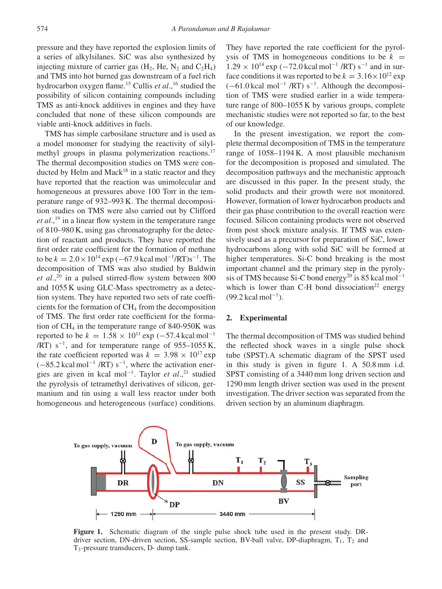pressure and they have reported the explosion limits of a series of alkylsilanes. SiC was also synthesized by injecting mixture of carrier gas  $(H_2, He, N_2 \text{ and } C_2H_4)$ and TMS into hot burned gas downstream of a fuel rich hydrocarbon oxygen flame.<sup>15</sup> Cullis *et al.*,<sup>16</sup> studied the possibility of silicon containing compounds including TMS as anti-knock additives in engines and they have concluded that none of these silicon compounds are viable anti-knock additives in fuels.

TMS has simple carbosilane structure and is used as a model monomer for studying the reactivity of silylmethyl groups in plasma polymerization reactions.<sup>17</sup> The thermal decomposition studies on TMS were conducted by Helm and  $Mack<sup>18</sup>$  in a static reactor and they have reported that the reaction was unimolecular and homogeneous at pressures above 100 Torr in the temperature range of 932–993 K. The thermal decomposition studies on TMS were also carried out by Clifford *et al*.,19 in a linear flow system in the temperature range of 810–980 K, using gas chromatography for the detection of reactant and products. They have reported the first order rate coefficient for the formation of methane to be  $k = 2.0 \times 10^{14}$  exp (−67.9 kcal mol<sup>-1</sup>/RT)s<sup>-1</sup>. The decomposition of TMS was also studied by Baldwin *et al.*, $^{20}$  in a pulsed stirred-flow system between 800 and 1055 K using GLC-Mass spectrometry as a detection system. They have reported two sets of rate coefficients for the formation of  $CH<sub>4</sub>$  from the decomposition of TMS. The first order rate coefficient for the formation of  $CH<sub>4</sub>$  in the temperature range of 840-950K was reported to be  $k = 1.58 \times 10^{11}$  exp (−57.4 kcal mol<sup>-1</sup> /RT)  $s^{-1}$ , and for temperature range of 955–1055 K, the rate coefficient reported was  $k = 3.98 \times 10^{17}$  exp  $(-85.2 \text{ kcal mol}^{-1} / \text{RT})$  s<sup>-1</sup>, where the activation energies are given in kcal mol<sup>-1</sup>. Taylor *et al*.,<sup>21</sup> studied the pyrolysis of tetramethyl derivatives of silicon, germanium and tin using a wall less reactor under both homogeneous and heterogeneous (surface) conditions. They have reported the rate coefficient for the pyrolysis of TMS in homogeneous conditions to be  $k =$  $1.29 \times 10^{14}$  exp ( $-72.0$  kcal mol<sup>-1</sup> /RT) s<sup>-1</sup> and in surface conditions it was reported to be  $k = 3.16 \times 10^{12}$  exp  $(-61.0 \text{ kcal mol}^{-1} / RT) s^{-1}$ . Although the decomposition of TMS were studied earlier in a wide temperature range of 800–1055 K by various groups, complete mechanistic studies were not reported so far, to the best of our knowledge.

In the present investigation, we report the complete thermal decomposition of TMS in the temperature range of 1058–1194 K. A most plausible mechanism for the decomposition is proposed and simulated. The decomposition pathways and the mechanistic approach are discussed in this paper. In the present study, the solid products and their growth were not monitored. However, formation of lower hydrocarbon products and their gas phase contribution to the overall reaction were focused. Silicon containing products were not observed from post shock mixture analysis. If TMS was extensively used as a precursor for preparation of SiC, lower hydrocarbons along with solid SiC will be formed at higher temperatures. Si-C bond breaking is the most important channel and the primary step in the pyrolysis of TMS because Si-C bond energy<sup>20</sup> is 85 kcal mol<sup>-1</sup> which is lower than C-H bond dissociation<sup>22</sup> energy  $(99.2 \text{ kcal mol}^{-1})$ .

#### **2. Experimental**

The thermal decomposition of TMS was studied behind the reflected shock waves in a single pulse shock tube (SPST).A schematic diagram of the SPST used in this study is given in figure 1. A 50.8 mm i.d. SPST consisting of a 3440 mm long driven section and 1290 mm length driver section was used in the present investigation. The driver section was separated from the driven section by an aluminum diaphragm.



**Figure 1.** Schematic diagram of the single pulse shock tube used in the present study. DRdriver section, DN-driven section, SS-sample section, BV-ball valve, DP-diaphragm,  $T_1$ ,  $T_2$  and T3-pressure transducers, D- dump tank.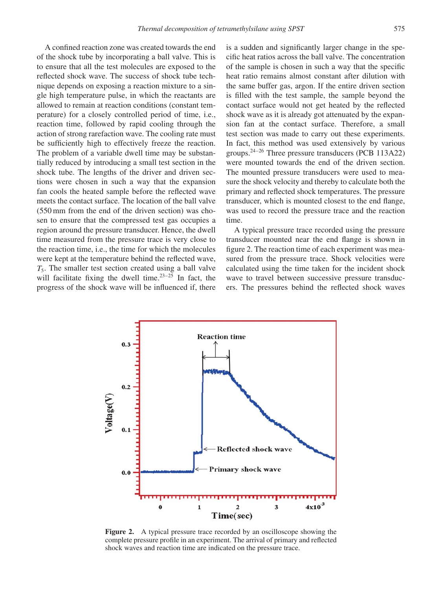A confined reaction zone was created towards the end of the shock tube by incorporating a ball valve. This is to ensure that all the test molecules are exposed to the reflected shock wave. The success of shock tube technique depends on exposing a reaction mixture to a single high temperature pulse, in which the reactants are allowed to remain at reaction conditions (constant temperature) for a closely controlled period of time, i.e., reaction time, followed by rapid cooling through the action of strong rarefaction wave. The cooling rate must be sufficiently high to effectively freeze the reaction. The problem of a variable dwell time may be substantially reduced by introducing a small test section in the shock tube. The lengths of the driver and driven sections were chosen in such a way that the expansion fan cools the heated sample before the reflected wave meets the contact surface. The location of the ball valve (550 mm from the end of the driven section) was chosen to ensure that the compressed test gas occupies a region around the pressure transducer. Hence, the dwell time measured from the pressure trace is very close to the reaction time, i.e., the time for which the molecules were kept at the temperature behind the reflected wave,  $T<sub>5</sub>$ . The smaller test section created using a ball valve will facilitate fixing the dwell time.<sup>23–25</sup> In fact, the progress of the shock wave will be influenced if, there is a sudden and significantly larger change in the specific heat ratios across the ball valve. The concentration of the sample is chosen in such a way that the specific heat ratio remains almost constant after dilution with the same buffer gas, argon. If the entire driven section is filled with the test sample, the sample beyond the contact surface would not get heated by the reflected shock wave as it is already got attenuated by the expansion fan at the contact surface. Therefore, a small test section was made to carry out these experiments. In fact, this method was used extensively by various groups.<sup>24–26</sup> Three pressure transducers (PCB 113A22) were mounted towards the end of the driven section. The mounted pressure transducers were used to measure the shock velocity and thereby to calculate both the primary and reflected shock temperatures. The pressure transducer, which is mounted closest to the end flange, was used to record the pressure trace and the reaction time.

A typical pressure trace recorded using the pressure transducer mounted near the end flange is shown in figure 2. The reaction time of each experiment was measured from the pressure trace. Shock velocities were calculated using the time taken for the incident shock wave to travel between successive pressure transducers. The pressures behind the reflected shock waves



**Figure 2.** A typical pressure trace recorded by an oscilloscope showing the complete pressure profile in an experiment. The arrival of primary and reflected shock waves and reaction time are indicated on the pressure trace.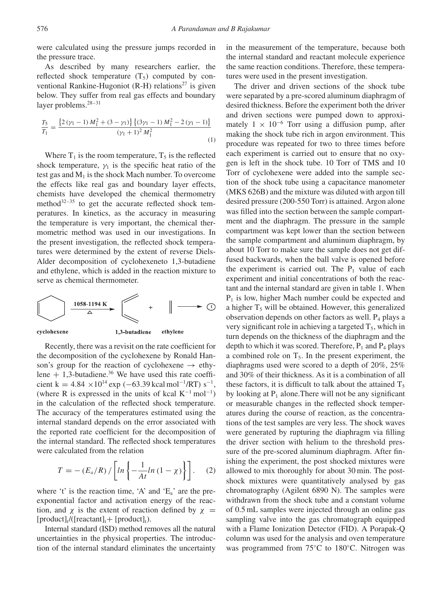were calculated using the pressure jumps recorded in the pressure trace.

As described by many researchers earlier, the reflected shock temperature  $(T_5)$  computed by conventional Rankine-Hugoniot  $(R-H)$  relations<sup>27</sup> is given below. They suffer from real gas effects and boundary layer problems.<sup>28-31</sup>

$$
\frac{T_5}{T_1} = \frac{\{2(\gamma_1 - 1) M_1^2 + (3 - \gamma_1)\} \{ (3\gamma_1 - 1) M_1^2 - 2(\gamma_1 - 1) \}}{(\gamma_1 + 1)^2 M_1^2}
$$
\n(1)

Where  $T_1$  is the room temperature,  $T_5$  is the reflected shock temperature,  $\gamma_1$  is the specific heat ratio of the test gas and  $M_1$  is the shock Mach number. To overcome the effects like real gas and boundary layer effects, chemists have developed the chemical thermometry method<sup>32–35</sup> to get the accurate reflected shock temperatures. In kinetics, as the accuracy in measuring the temperature is very important, the chemical thermometric method was used in our investigations. In the present investigation, the reflected shock temperatures were determined by the extent of reverse Diels-Alder decomposition of cyclohexeneto 1,3-butadiene and ethylene, which is added in the reaction mixture to serve as chemical thermometer.



Recently, there was a revisit on the rate coefficient for the decomposition of the cyclohexene by Ronald Hanson's group for the reaction of cyclohexene  $\rightarrow$  ethylene  $+$  1,3-butadiene.<sup>36</sup> We have used this rate coefficient k = 4.84 ×10<sup>14</sup> exp (−63.39 kcal mol<sup>-1</sup>/RT) s<sup>-1</sup>, (where R is expressed in the units of kcal  $K^{-1}$  mol<sup>-1</sup>) in the calculation of the reflected shock temperature. The accuracy of the temperatures estimated using the internal standard depends on the error associated with the reported rate coefficient for the decomposition of the internal standard. The reflected shock temperatures were calculated from the relation

$$
T = -\left(E_a/R\right)/\left[ln\left\{-\frac{1}{At}ln\left(1-\chi\right)\right\}\right].
$$
 (2)

where 't' is the reaction time, 'A' and ' $E_a$ ' are the preexponential factor and activation energy of the reaction, and *χ* is the extent of reaction defined by  $\chi$  =  $[produced<sub>t</sub>/([reactant]<sub>t</sub>+[product]<sub>t</sub>).$ 

Internal standard (ISD) method removes all the natural uncertainties in the physical properties. The introduction of the internal standard eliminates the uncertainty in the measurement of the temperature, because both the internal standard and reactant molecule experience the same reaction conditions. Therefore, these temperatures were used in the present investigation.

The driver and driven sections of the shock tube were separated by a pre-scored aluminum diaphragm of desired thickness. Before the experiment both the driver and driven sections were pumped down to approximately  $1 \times 10^{-6}$  Torr using a diffusion pump, after making the shock tube rich in argon environment. This procedure was repeated for two to three times before each experiment is carried out to ensure that no oxygen is left in the shock tube. 10 Torr of TMS and 10 Torr of cyclohexene were added into the sample section of the shock tube using a capacitance manometer (MKS 626B) and the mixture was diluted with argon till desired pressure (200-550 Torr) is attained. Argon alone was filled into the section between the sample compartment and the diaphragm. The pressure in the sample compartment was kept lower than the section between the sample compartment and aluminum diaphragm, by about 10 Torr to make sure the sample does not get diffused backwards, when the ball valve is opened before the experiment is carried out. The  $P_1$  value of each experiment and initial concentrations of both the reactant and the internal standard are given in table 1. When  $P_1$  is low, higher Mach number could be expected and a higher  $T_5$  will be obtained. However, this generalized observation depends on other factors as well.  $P_4$  plays a very significant role in achieving a targeted  $T_5$ , which in turn depends on the thickness of the diaphragm and the depth to which it was scored. Therefore,  $P_1$  and  $P_4$  plays a combined role on  $T_5$ . In the present experiment, the diaphragms used were scored to a depth of 20%, 25% and 30% of their thickness. As it is a combination of all these factors, it is difficult to talk about the attained  $T_5$ by looking at  $P_1$  alone. There will not be any significant or measurable changes in the reflected shock temperatures during the course of reaction, as the concentrations of the test samples are very less. The shock waves were generated by rupturing the diaphragm via filling the driver section with helium to the threshold pressure of the pre-scored aluminum diaphragm. After finishing the experiment, the post shocked mixtures were allowed to mix thoroughly for about 30 min. The postshock mixtures were quantitatively analysed by gas chromatography (Agilent 6890 N). The samples were withdrawn from the shock tube and a constant volume of 0.5 mL samples were injected through an online gas sampling valve into the gas chromatograph equipped with a Flame Ionization Detector (FID). A Porapak-Q column was used for the analysis and oven temperature was programmed from 75◦C to 180◦C. Nitrogen was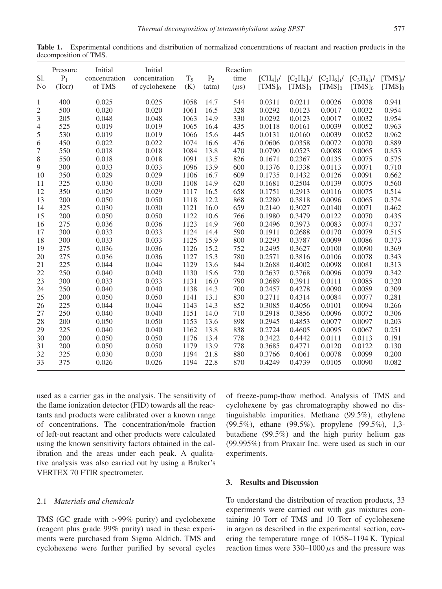| Sl.<br>No               | Pressure<br>$P_1$<br>(Torr) | Initial<br>concentration<br>of TMS | Initial<br>concentration<br>of cyclohexene | $T_5$<br>(K) | $P_5$<br>(atm) | Reaction<br>time<br>$(\mu s)$ | $[CH_4]_t$ /<br>$[TMS]_0$ | $[C_2H_4]_t$ /<br>$[TMS]_0$ | $[C_2H_6]_t$ /<br>$[TMS]_0$ | $[C_3H_6]_t$<br>$[TMS]_0$ | $[TMS]_t$ /<br>$[TMS]_0$ |
|-------------------------|-----------------------------|------------------------------------|--------------------------------------------|--------------|----------------|-------------------------------|---------------------------|-----------------------------|-----------------------------|---------------------------|--------------------------|
| $\mathbf{1}$            | 400                         | 0.025                              | 0.025                                      | 1058         | 14.7           | 544                           | 0.0311                    | 0.0211                      | 0.0026                      | 0.0038                    | 0.941                    |
| $\overline{\mathbf{c}}$ | 500                         | 0.020                              | 0.020                                      | 1061         | 16.5           | 328                           | 0.0292                    | 0.0123                      | 0.0017                      | 0.0032                    | 0.954                    |
| 3                       | 205                         | 0.048                              | 0.048                                      | 1063         | 14.9           | 330                           | 0.0292                    | 0.0123                      | 0.0017                      | 0.0032                    | 0.954                    |
| 4                       | 525                         | 0.019                              | 0.019                                      | 1065         | 16.4           | 435                           | 0.0118                    | 0.0161                      | 0.0039                      | 0.0052                    | 0.963                    |
| 5                       | 530                         | 0.019                              | 0.019                                      | 1066         | 15.6           | 445                           | 0.0131                    | 0.0160                      | 0.0039                      | 0.0052                    | 0.962                    |
| 6                       | 450                         | 0.022                              | 0.022                                      | 1074         | 16.6           | 476                           | 0.0606                    | 0.0358                      | 0.0072                      | 0.0070                    | 0.889                    |
| 7                       | 550                         | 0.018                              | 0.018                                      | 1084         | 13.8           | 470                           | 0.0790                    | 0.0523                      | 0.0088                      | 0.0065                    | 0.853                    |
| 8                       | 550                         | 0.018                              | 0.018                                      | 1091         | 13.5           | 826                           | 0.1671                    | 0.2367                      | 0.0135                      | 0.0075                    | 0.575                    |
| 9                       | 300                         | 0.033                              | 0.033                                      | 1096         | 13.9           | 600                           | 0.1376                    | 0.1338                      | 0.0113                      | 0.0071                    | 0.710                    |
| 10                      | 350                         | 0.029                              | 0.029                                      | 1106         | 16.7           | 609                           | 0.1735                    | 0.1432                      | 0.0126                      | 0.0091                    | 0.662                    |
| 11                      | 325                         | 0.030                              | 0.030                                      | 1108         | 14.9           | 620                           | 0.1681                    | 0.2504                      | 0.0139                      | 0.0075                    | 0.560                    |
| 12                      | 350                         | 0.029                              | 0.029                                      | 1117         | 16.5           | 658                           | 0.1751                    | 0.2913                      | 0.0116                      | 0.0075                    | 0.514                    |
| 13                      | 200                         | 0.050                              | 0.050                                      | 1118         | 12.2           | 868                           | 0.2280                    | 0.3818                      | 0.0096                      | 0.0065                    | 0.374                    |
| 14                      | 325                         | 0.030                              | 0.030                                      | 1121         | 16.0           | 659                           | 0.2140                    | 0.3027                      | 0.0140                      | 0.0071                    | 0.462                    |
| 15                      | 200                         | 0.050                              | 0.050                                      | 1122         | 10.6           | 766                           | 0.1980                    | 0.3479                      | 0.0122                      | 0.0070                    | 0.435                    |
| 16                      | 275                         | 0.036                              | 0.036                                      | 1123         | 14.9           | 760                           | 0.2496                    | 0.3973                      | 0.0083                      | 0.0074                    | 0.337                    |
| 17                      | 300                         | 0.033                              | 0.033                                      | 1124         | 14.4           | 590                           | 0.1911                    | 0.2688                      | 0.0170                      | 0.0079                    | 0.515                    |
| 18                      | 300                         | 0.033                              | 0.033                                      | 1125         | 15.9           | 800                           | 0.2293                    | 0.3787                      | 0.0099                      | 0.0086                    | 0.373                    |
| 19                      | 275                         | 0.036                              | 0.036                                      | 1126         | 15.2           | 752                           | 0.2495                    | 0.3627                      | 0.0100                      | 0.0090                    | 0.369                    |
| 20                      | 275                         | 0.036                              | 0.036                                      | 1127         | 15.3           | 780                           | 0.2571                    | 0.3816                      | 0.0106                      | 0.0078                    | 0.343                    |
| 21                      | 225                         | 0.044                              | 0.044                                      | 1129         | 13.6           | 844                           | 0.2688                    | 0.4002                      | 0.0098                      | 0.0081                    | 0.313                    |
| 22                      | 250                         | 0.040                              | 0.040                                      | 1130         | 15.6           | 720                           | 0.2637                    | 0.3768                      | 0.0096                      | 0.0079                    | 0.342                    |
| 23                      | 300                         | 0.033                              | 0.033                                      | 1131         | 16.0           | 790                           | 0.2689                    | 0.3911                      | 0.0111                      | 0.0085                    | 0.320                    |
| 24                      | 250                         | 0.040                              | 0.040                                      | 1138         | 14.3           | 700                           | 0.2457                    | 0.4278                      | 0.0090                      | 0.0089                    | 0.309                    |
| 25                      | 200                         | 0.050                              | 0.050                                      | 1141         | 13.1           | 830                           | 0.2711                    | 0.4314                      | 0.0084                      | 0.0077                    | 0.281                    |
| 26                      | 225                         | 0.044                              | 0.044                                      | 1143         | 14.3           | 852                           | 0.3085                    | 0.4056                      | 0.0101                      | 0.0094                    | 0.266                    |
| 27                      | 250                         | 0.040                              | 0.040                                      | 1151         | 14.0           | 710                           | 0.2918                    | 0.3856                      | 0.0096                      | 0.0072                    | 0.306                    |
| 28                      | 200                         | 0.050                              | 0.050                                      | 1153         | 13.6           | 898                           | 0.2945                    | 0.4853                      | 0.0077                      | 0.0097                    | 0.203                    |
| 29                      | 225                         | 0.040                              | 0.040                                      | 1162         | 13.8           | 838                           | 0.2724                    | 0.4605                      | 0.0095                      | 0.0067                    | 0.251                    |
| 30                      | 200                         | 0.050                              | 0.050                                      | 1176         | 13.4           | 778                           | 0.3422                    | 0.4442                      | 0.0111                      | 0.0113                    | 0.191                    |
| 31                      | 200                         | 0.050                              | 0.050                                      | 1179         | 13.9           | 778                           | 0.3685                    | 0.4771                      | 0.0120                      | 0.0122                    | 0.130                    |

32 325 0.030 0.030 1194 21.8 880 0.3766 0.4061 0.0078 0.0099 0.200 33 375 0.026 0.026 1194 22.8 870 0.4249 0.4739 0.0105 0.0090 0.082

**Table 1.** Experimental conditions and distribution of normalized concentrations of reactant and reaction products in the decomposition of TMS.

used as a carrier gas in the analysis. The sensitivity of the flame ionization detector (FID) towards all the reactants and products were calibrated over a known range of concentrations. The concentration/mole fraction of left-out reactant and other products were calculated using the known sensitivity factors obtained in the calibration and the areas under each peak. A qualitative analysis was also carried out by using a Bruker's VERTEX 70 FTIR spectrometer.

## 2.1 *Materials and chemicals*

TMS (GC grade with *>*99% purity) and cyclohexene (reagent plus grade 99% purity) used in these experiments were purchased from Sigma Aldrich. TMS and cyclohexene were further purified by several cycles of freeze-pump-thaw method. Analysis of TMS and cyclohexene by gas chromatography showed no distinguishable impurities. Methane (99.5%), ethylene (99.5%), ethane (99.5%), propylene (99.5%), 1,3 butadiene (99.5%) and the high purity helium gas (99.995%) from Praxair Inc. were used as such in our experiments.

## **3. Results and Discussion**

To understand the distribution of reaction products, 33 experiments were carried out with gas mixtures containing 10 Torr of TMS and 10 Torr of cyclohexene in argon as described in the experimental section, covering the temperature range of 1058–1194 K. Typical reaction times were 330–1000*μ*s and the pressure was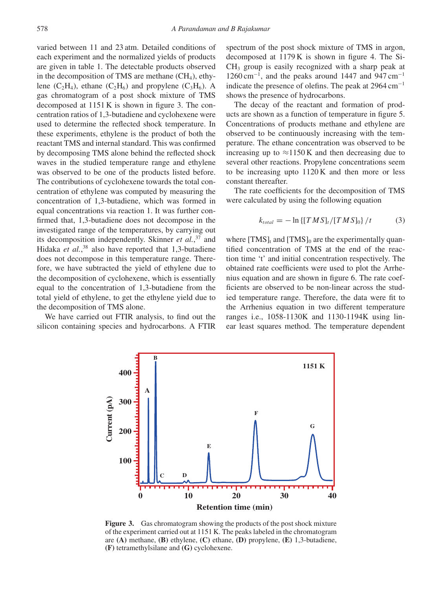varied between 11 and 23 atm. Detailed conditions of each experiment and the normalized yields of products are given in table 1. The detectable products observed in the decomposition of TMS are methane  $(CH<sub>4</sub>)$ , ethylene  $(C_2H_4)$ , ethane  $(C_2H_6)$  and propylene  $(C_3H_6)$ . A gas chromatogram of a post shock mixture of TMS decomposed at 1151 K is shown in figure 3. The concentration ratios of 1,3-butadiene and cyclohexene were used to determine the reflected shock temperature. In these experiments, ethylene is the product of both the reactant TMS and internal standard. This was confirmed by decomposing TMS alone behind the reflected shock waves in the studied temperature range and ethylene was observed to be one of the products listed before. The contributions of cyclohexene towards the total concentration of ethylene was computed by measuring the concentration of 1,3-butadiene, which was formed in equal concentrations via reaction 1. It was further confirmed that, 1,3-butadiene does not decompose in the investigated range of the temperatures, by carrying out its decomposition independently. Skinner *et al.*, <sup>37</sup> and Hidaka *et al.*, <sup>38</sup> also have reported that 1,3-butadiene does not decompose in this temperature range. Therefore, we have subtracted the yield of ethylene due to the decomposition of cyclohexene, which is essentially equal to the concentration of 1,3-butadiene from the total yield of ethylene, to get the ethylene yield due to the decomposition of TMS alone.

We have carried out FTIR analysis, to find out the silicon containing species and hydrocarbons. A FTIR spectrum of the post shock mixture of TMS in argon, decomposed at 1179 K is shown in figure 4. The Si- $CH<sub>3</sub>$  group is easily recognized with a sharp peak at  $1260 \text{ cm}^{-1}$ , and the peaks around 1447 and 947 cm<sup>-1</sup> indicate the presence of olefins. The peak at  $2964 \text{ cm}^{-1}$ shows the presence of hydrocarbons.

The decay of the reactant and formation of products are shown as a function of temperature in figure 5. Concentrations of products methane and ethylene are observed to be continuously increasing with the temperature. The ethane concentration was observed to be increasing up to  $\approx$ 1150 K and then decreasing due to several other reactions. Propylene concentrations seem to be increasing upto 1120 K and then more or less constant thereafter.

The rate coefficients for the decomposition of TMS were calculated by using the following equation

$$
k_{total} = -\ln\{[TMS]_{t}/[TMS]_{0}\} / t \tag{3}
$$

where  $[TMS]_t$  and  $[TMS]_0$  are the experimentally quantified concentration of TMS at the end of the reaction time 't' and initial concentration respectively. The obtained rate coefficients were used to plot the Arrhenius equation and are shown in figure 6. The rate coefficients are observed to be non-linear across the studied temperature range. Therefore, the data were fit to the Arrhenius equation in two different temperature ranges i.e., 1058-1130K and 1130-1194K using linear least squares method. The temperature dependent



**Figure 3.** Gas chromatogram showing the products of the post shock mixture of the experiment carried out at 1151 K. The peaks labeled in the chromatogram are **(A)** methane, **(B)** ethylene, **(C)** ethane, **(D)** propylene, **(E)** 1,3-butadiene, **(F)** tetramethylsilane and **(G)** cyclohexene.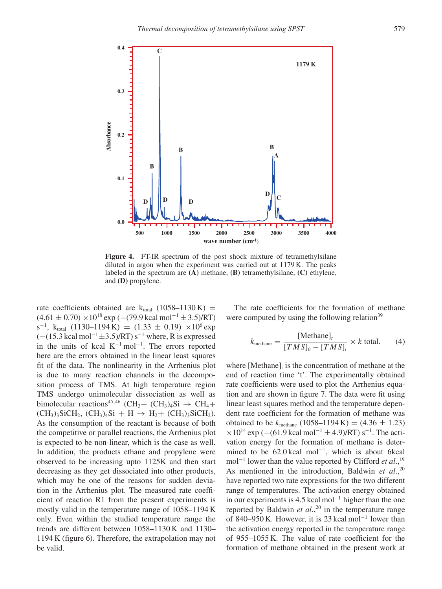

**Figure 4.** FT-IR spectrum of the post shock mixture of tetramethylsilane diluted in argon when the experiment was carried out at 1179 K. The peaks labeled in the spectrum are **(A)** methane, **(B)** tetramethylsilane, **(C)** ethylene, and **(D)** propylene.

rate coefficients obtained are  $k_{total}$  (1058–1130 K) =  $(4.61 \pm 0.70) \times 10^{18}$  exp  $(-(79.9 \text{ kcal mol}^{-1} \pm 3.5)/RT)$  $s^{-1}$ , k<sub>total</sub> (1130–1194 K) = (1.33 ± 0.19) ×10<sup>6</sup> exp  $(-(15.3 \text{ kcal mol}^{-1} \pm 3.5)/RT) s^{-1}$  where, R is expressed in the units of kcal  $K^{-1}$  mol<sup>-1</sup>. The errors reported here are the errors obtained in the linear least squares fit of the data. The nonlinearity in the Arrhenius plot is due to many reaction channels in the decomposition process of TMS. At high temperature region TMS undergo unimolecular dissociation as well as bimolecular reactions<sup>45,46</sup> (CH<sub>3</sub>+ (CH<sub>3</sub>)<sub>4</sub>Si  $\rightarrow$  CH<sub>4</sub>+  $(CH_3)_3$ SiCH<sub>2</sub>,  $(CH_3)_4$ Si + H  $\rightarrow$  H<sub>2</sub>+ (CH<sub>3</sub>)<sub>3</sub>SiCH<sub>2</sub>). As the consumption of the reactant is because of both the competitive or parallel reactions, the Arrhenius plot is expected to be non-linear, which is the case as well. In addition, the products ethane and propylene were observed to be increasing upto 1125K and then start decreasing as they get dissociated into other products, which may be one of the reasons for sudden deviation in the Arrhenius plot. The measured rate coefficient of reaction R1 from the present experiments is mostly valid in the temperature range of 1058–1194 K only. Even within the studied temperature range the trends are different between 1058–1130 K and 1130– 1194 K (figure 6). Therefore, the extrapolation may not be valid.

The rate coefficients for the formation of methane were computed by using the following relation<sup>39</sup>

$$
k_{\text{methane}} = \frac{[\text{Method}]_t}{[TMS]_0 - [TMS]_t} \times k \text{ total.} \tag{4}
$$

where  $[Method]_t$  is the concentration of methane at the end of reaction time 't'. The experimentally obtained rate coefficients were used to plot the Arrhenius equation and are shown in figure 7. The data were fit using linear least squares method and the temperature dependent rate coefficient for the formation of methane was obtained to be  $k_{\text{methane}}$  (1058–1194 K) = (4.36  $\pm$  1.23)  $\times 10^{14}$  exp (–(61.9 kcal mol<sup>-1</sup> ± 4.9)/RT) s<sup>-1</sup>. The activation energy for the formation of methane is determined to be  $62.0 \text{ kcal mol}^{-1}$ , which is about 6kcal mol<sup>-1</sup> lower than the value reported by Clifford *et al*.,<sup>19</sup> As mentioned in the introduction, Baldwin et al.,<sup>20</sup> have reported two rate expressions for the two different range of temperatures. The activation energy obtained in our experiments is 4.5 kcal mol<sup>−</sup><sup>1</sup> higher than the one reported by Baldwin *et al.*, <sup>20</sup> in the temperature range of 840–950 K. However, it is 23 kcal mol<sup>-1</sup> lower than the activation energy reported in the temperature range of 955–1055 K. The value of rate coefficient for the formation of methane obtained in the present work at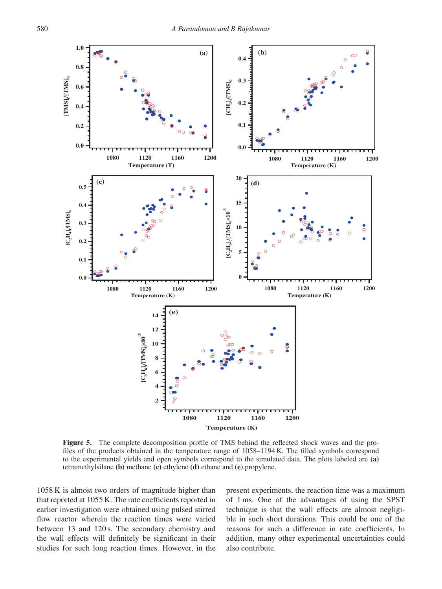

Figure 5. The complete decomposition profile of TMS behind the reflected shock waves and the profiles of the products obtained in the temperature range of 1058–1194 K. The filled symbols correspond to the experimental yields and open symbols correspond to the simulated data. The plots labeled are **(a)** tetramethylsilane **(b)** methane **(c)** ethylene **(d)** ethane and **(e**) propylene.

1058 K is almost two orders of magnitude higher than that reported at 1055 K. The rate coefficients reported in earlier investigation were obtained using pulsed stirred flow reactor wherein the reaction times were varied between 13 and 120 s. The secondary chemistry and the wall effects will definitely be significant in their studies for such long reaction times. However, in the present experiments, the reaction time was a maximum of 1 ms. One of the advantages of using the SPST technique is that the wall effects are almost negligible in such short durations. This could be one of the reasons for such a difference in rate coefficients. In addition, many other experimental uncertainties could also contribute.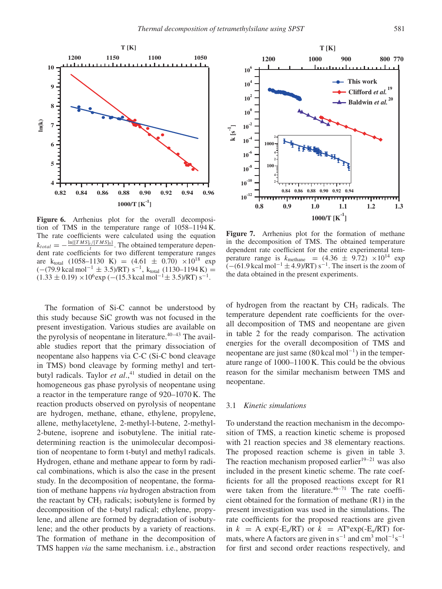



**Figure 6.** Arrhenius plot for the overall decomposition of TMS in the temperature range of 1058–1194 K. The rate coefficients were calculated using the equation  $k_{total} = -\frac{\ln\{(TMS)_t/[TMS]_0\}}{I}$ . The obtained temperature dependent rate coefficients for two different temperature ranges are k<sub>total</sub> (1058–1130 K) = (4.61  $\pm$  0.70) ×10<sup>18</sup> exp  $(-(79.9 \text{ kcal mol}^{-1} \pm 3.5)/RT) s^{-1}$ , k<sub>total</sub> (1130–1194 K) =  $(1.33 \pm 0.19) \times 10^6$ exp (−(15.3 kcal mol<sup>-1</sup> ± 3.5)/RT) s<sup>-1</sup>.

The formation of Si-C cannot be understood by this study because SiC growth was not focused in the present investigation. Various studies are available on the pyrolysis of neopentane in literature. $40-43$  The available studies report that the primary dissociation of neopentane also happens via C-C (Si-C bond cleavage in TMS) bond cleavage by forming methyl and tertbutyl radicals. Taylor *et al.*,<sup>41</sup> studied in detail on the homogeneous gas phase pyrolysis of neopentane using a reactor in the temperature range of 920–1070 K. The reaction products observed on pyrolysis of neopentane are hydrogen, methane, ethane, ethylene, propylene, allene, methylacetylene, 2-methyl-l-butene, 2-methyl-2-butene, isoprene and isobutylene. The initial ratedetermining reaction is the unimolecular decomposition of neopentane to form t-butyl and methyl radicals. Hydrogen, ethane and methane appear to form by radical combinations, which is also the case in the present study. In the decomposition of neopentane, the formation of methane happens *via* hydrogen abstraction from the reactant by  $CH<sub>3</sub>$  radicals; isobutylene is formed by decomposition of the t-butyl radical; ethylene, propylene, and allene are formed by degradation of isobutylene; and the other products by a variety of reactions. The formation of methane in the decomposition of TMS happen *via* the same mechanism. i.e., abstraction



Figure 7. Arrhenius plot for the formation of methane in the decomposition of TMS. The obtained temperature dependent rate coefficient for the entire experimental temperature range is  $k_{\text{methane}} = (4.36 \pm 9.72) \times 10^{14} \text{ exp}$  $(- (61.9 \text{ kcal mol}^{-1} \pm 4.9)/RT) s^{-1}$ . The insert is the zoom of the data obtained in the present experiments.

of hydrogen from the reactant by  $CH<sub>3</sub>$  radicals. The temperature dependent rate coefficients for the overall decomposition of TMS and neopentane are given in table 2 for the ready comparison. The activation energies for the overall decomposition of TMS and neopentane are just same (80 kcal mol<sup>-1</sup>) in the temperature range of 1000–1100 K. This could be the obvious reason for the similar mechanism between TMS and neopentane.

#### 3.1 *Kinetic simulations*

To understand the reaction mechanism in the decomposition of TMS, a reaction kinetic scheme is proposed with 21 reaction species and 38 elementary reactions. The proposed reaction scheme is given in table 3. The reaction mechanism proposed earlier<sup>19–21</sup> was also included in the present kinetic scheme. The rate coefficients for all the proposed reactions except for R1 were taken from the literature. $46-71$  The rate coefficient obtained for the formation of methane (R1) in the present investigation was used in the simulations. The rate coefficients for the proposed reactions are given in  $k = A \exp(-E_a/RT)$  or  $k = AT^n exp(-E_a/RT)$  formats, where A factors are given in  $s^{-1}$  and cm<sup>3</sup> mol<sup>-1</sup>s<sup>-1</sup> for first and second order reactions respectively, and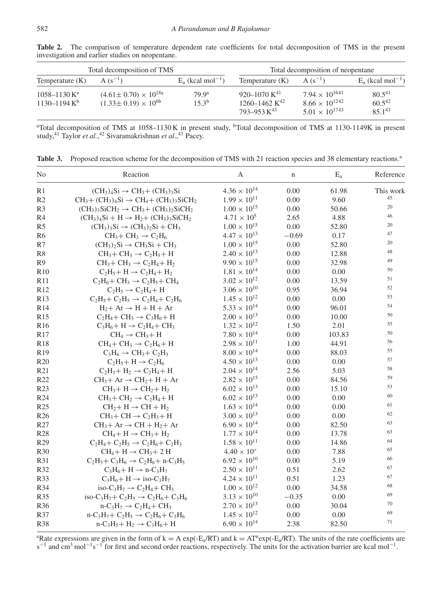|                                                   | Total decomposition of TMS                                            |                                       | Total decomposition of neopentane                           |                                                                               |                                           |  |
|---------------------------------------------------|-----------------------------------------------------------------------|---------------------------------------|-------------------------------------------------------------|-------------------------------------------------------------------------------|-------------------------------------------|--|
| Temperature $(K)$                                 | $A(s^{-1})$                                                           | $E_a$ (kcal mol <sup>-1</sup> )       | Temperature $(K)$                                           | A $(s^{-1})$                                                                  | $E_a$ (kcal mol <sup>-1</sup> )           |  |
| $1058 - 1130$ K <sup>a</sup><br>$1130 - 1194 K^b$ | $(4.61 \pm 0.70) \times 10^{18a}$<br>$(1.33 \pm 0.19) \times 10^{6b}$ | 79.9 <sup>a</sup><br>153 <sup>b</sup> | 920-1070 $K^{41}$<br>1260–1462 $K^{42}$<br>793-953 $K^{43}$ | $7.94 \times 10^{1641}$<br>$8.66 \times 10^{1242}$<br>$5.01 \times 10^{1743}$ | $80.5^{41}$<br>$60.5^{42}$<br>$85.1^{43}$ |  |

**Table 2.** The comparison of temperature dependent rate coefficients for total decomposition of TMS in the present investigation and earlier studies on neopentane.

<sup>a</sup>Total decomposition of TMS at 1058–1130 K in present study, <sup>b</sup>Total decomposition of TMS at 1130-1149K in present study,<sup>41</sup> Taylor *et al.*,<sup>42</sup> Sivaramakrishnan *et al.*,<sup>43</sup> Pacey.

| No              | Reaction                                                                                                                                      | A                        | $\mathbf n$ | $E_a$  | Reference |
|-----------------|-----------------------------------------------------------------------------------------------------------------------------------------------|--------------------------|-------------|--------|-----------|
| R1              | $(CH_3)_4Si \rightarrow CH_3 + (CH_3)_3Si$                                                                                                    | $4.36 \times 10^{14}$    | 0.00        | 61.98  | This work |
| R2              | $CH_3 + (CH_3)_4Si \rightarrow CH_4 + (CH_3)_3SiCH_2$                                                                                         | $1.99 \times 10^{11}$    | 0.00        | 9.60   | 45        |
| R <sub>3</sub>  | $(CH_3)_3$ SiCH <sub>2</sub> $\rightarrow$ CH <sub>3</sub> + (CH <sub>3</sub> ) <sub>2</sub> SiCH <sub>2</sub>                                | $1.00 \times 10^{15}$    | 0.00        | 50.66  | 20        |
| R <sub>4</sub>  | $(CH_3)_4Si + H \rightarrow H_2 + (CH_3)_3SiCH_2$                                                                                             | $4.71 \times 10^{5}$     | 2.65        | 4.88   | 46        |
| R <sub>5</sub>  | $(CH_3)_3Si \rightarrow (CH_3)_2Si + CH_3$                                                                                                    | $1.00 \times 10^{15}$    | 0.00        | 52.80  | 20        |
| R <sub>6</sub>  | $CH_3 + CH_3 \rightarrow C_2H_6$                                                                                                              | $4.47 \times 10^{13}$    | $-0.69$     | 0.17   | 47        |
| R7              | $(CH_3)_2Si \rightarrow CH_3Si + CH_3$                                                                                                        | $1.00 \times 10^{15}$    | 0.00        | 52.80  | 20        |
| R <sub>8</sub>  | $CH_3 + CH_3 \rightarrow C_2H_5 + H$                                                                                                          | $2.40 \times 10^{13}$    | 0.00        | 12.88  | 48        |
| R <sub>9</sub>  | $CH_3 + CH_3 \rightarrow C_2H_4 + H_2$                                                                                                        | $9.90 \times 10^{15}$    | 0.00        | 32.98  | 49        |
| R10             | $C_2H_5 + H \rightarrow C_2H_4 + H_2$                                                                                                         | $1.81 \times 10^{14}$    | 0.00        | 0.00   | 50        |
| R11             | $C_2H_6+CH_3 \rightarrow C_2H_5+CH_4$                                                                                                         | $3.02 \times 10^{12}$    | 0.00        | 13.59  | 51        |
| R <sub>12</sub> | $C_2H_5 \rightarrow C_2H_4 + H$                                                                                                               | $3.06 \times 10^{10}$    | 0.95        | 36.94  | 52        |
| R13             | $C_2H_5 + C_2H_5 \rightarrow C_2H_4 + C_2H_6$                                                                                                 | $1.45 \times 10^{12}$    | 0.00        | 0.00   | 53        |
| R14             | $H_2 + Ar \rightarrow H + H + Ar$                                                                                                             | $5.33 \times 10^{14}$    | 0.00        | 96.01  | 54        |
| R15             | $C_2H_4 + CH_3 \rightarrow C_3H_6 + H$                                                                                                        | $2.00 \times 10^{13}$    | 0.00        | 10.00  | 50        |
| R <sub>16</sub> | $C_3H_6+H \rightarrow C_2H_4+CH_3$                                                                                                            | $1.32 \times 10^{12}$    | 1.50        | 2.01   | 55        |
| R17             | $CH_4 \rightarrow CH_3 + H$                                                                                                                   | $7.80 \times 10^{14}$    | 0.00        | 103.83 | 50        |
| <b>R18</b>      | $CH_4 + CH_3 \rightarrow C_2H_6 + H$                                                                                                          | $2.98 \times 10^{11}$    | 1.00        | 44.91  | 56        |
| R <sub>19</sub> | $C_3H_6 \rightarrow CH_3 + C_2H_3$                                                                                                            | $8.00 \times 10^{14}$    | 0.00        | 88.03  | 55        |
| R <sub>20</sub> | $C_2H_5 + H \rightarrow C_2H_6$                                                                                                               | $4.50 \times 10^{13}$    | 0.00        | 0.00   | 57        |
| R21             | $C_2H_3 + H_2 \rightarrow C_2H_4 + H$                                                                                                         | $2.04 \times 10^{14}$    | 2.56        | 5.03   | 58        |
| R22             | $CH_3+Ar \rightarrow CH_2+H+Ar$                                                                                                               | $2.82 \times 10^{15}$    | 0.00        | 84.56  | 59        |
| R <sub>23</sub> | $CH_3 + H \rightarrow CH_2 + H_2$                                                                                                             | $6.02 \times 10^{13}$    | 0.00        | 15.10  | 53        |
| R <sub>24</sub> | $CH_3 + CH_2 \rightarrow C_2H_4 + H$                                                                                                          | $6.02 \times 10^{13}$    | 0.00        | 0.00   | 60        |
| R <sub>25</sub> | $CH_2 + H \rightarrow CH + H_2$                                                                                                               | $1.63 \times 10^{14}$    | 0.00        | 0.00   | 61        |
| R <sub>26</sub> | $CH_3 + CH \rightarrow C_2H_3 + H$                                                                                                            | $3.00 \times 10^{13}$    | 0.00        | 0.00   | 62        |
| R27             | $CH_3+Ar \rightarrow CH + H_2+Ar$                                                                                                             | $6.90 \times 10^{14}$    | 0.00        | 82.50  | 63        |
| <b>R28</b>      | $CH_4 + H \rightarrow CH_3 + H_2$                                                                                                             | $1.77 \times 10^{14}$    | 0.00        | 13.78  | 63        |
| R29             | $C_2H_4 + C_2H_5 \rightarrow C_2H_6 + C_2H_3$                                                                                                 | $1.58 \times 10^{11}$    | 0.00        | 14.86  | 64        |
| <b>R30</b>      | $CH_4 + H \rightarrow CH_3 + 2 H$                                                                                                             | $4.40 \times 10^{\circ}$ | 0.00        | 7.88   | 65        |
| R31             | $C_2H_5 + C_3H_6 \rightarrow C_2H_6 + n-C_3H_5$                                                                                               | $6.92 \times 10^{10}$    | 0.00        | 5.19   | 66        |
| R32             | $C_3H_6+H \rightarrow n-C_3H_7$                                                                                                               | $2.50 \times 10^{11}$    | 0.51        | 2.62   | 67        |
| R33             | $C_3H_6+H \rightarrow iso-C_3H_7$                                                                                                             | $4.24 \times 10^{11}$    | 0.51        | 1.23   | 67        |
| R34             | iso-C <sub>3</sub> H <sub>7</sub> $\rightarrow$ C <sub>2</sub> H <sub>4</sub> + CH <sub>3</sub>                                               | $1.00 \times 10^{12}$    | 0.00        | 34.58  | 68        |
| R35             | iso-C <sub>3</sub> H <sub>7</sub> + C <sub>2</sub> H <sub>5</sub> $\rightarrow$ C <sub>2</sub> H <sub>6</sub> + C <sub>3</sub> H <sub>6</sub> | $3.13 \times 10^{10}$    | $-0.35$     | 0.00   | 69        |
| R36             | $n-C_3H_7 \rightarrow C_2H_4 + CH_3$                                                                                                          | $2.70 \times 10^{13}$    | 0.00        | 30.04  | $70\,$    |
| R37             | $n-C_3H_7 + C_2H_5 \rightarrow C_2H_6 + C_3H_6$                                                                                               | $1.45 \times 10^{12}$    | 0.00        | 0.00   | 69        |
| <b>R38</b>      | $n-C_3H_5 + H_2 \rightarrow C_3H_6 + H$                                                                                                       | $6.90 \times 10^{14}$    | 2.38        | 82.50  | 71        |

Table 3. Proposed reaction scheme for the decomposition of TMS with 21 reaction species and 38 elementary reactions.<sup>a</sup>

<sup>a</sup>Rate expressions are given in the form of  $k = A \exp(-E_a/RT)$  and  $k = AT^n \exp(-E_a/RT)$ . The units of the rate coefficients are  $s^{-1}$  and cm<sup>3</sup> mol<sup>-1</sup>s<sup>-1</sup> for first and second order reactions, respectively. The units for the activation barrier are kcal mol<sup>-1</sup>.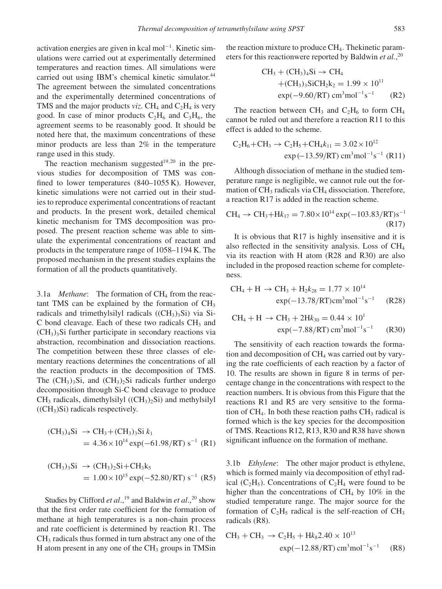activation energies are given in kcal mol<sup>−</sup>1. Kinetic simulations were carried out at experimentally determined temperatures and reaction times. All simulations were carried out using IBM's chemical kinetic simulator.<sup>44</sup> The agreement between the simulated concentrations and the experimentally determined concentrations of TMS and the major products *viz*. CH<sub>4</sub> and  $C_2H_4$  is very good. In case of minor products  $C_2H_6$  and  $C_3H_6$ , the agreement seems to be reasonably good. It should be noted here that, the maximum concentrations of these minor products are less than 2% in the temperature range used in this study.

The reaction mechanism suggested<sup>19,20</sup> in the previous studies for decomposition of TMS was confined to lower temperatures (840–1055 K). However, kinetic simulations were not carried out in their studies to reproduce experimental concentrations of reactant and products. In the present work, detailed chemical kinetic mechanism for TMS decomposition was proposed. The present reaction scheme was able to simulate the experimental concentrations of reactant and products in the temperature range of 1058–1194 K. The proposed mechanism in the present studies explains the formation of all the products quantitatively.

3.1a *Methane*: The formation of  $CH<sub>4</sub>$  from the reactant TMS can be explained by the formation of  $CH<sub>3</sub>$ radicals and trimethylsilyl radicals  $((CH<sub>3</sub>)<sub>3</sub>Si)$  via Si-C bond cleavage. Each of these two radicals  $CH<sub>3</sub>$  and  $(CH<sub>3</sub>)<sub>3</sub>$ Si further participate in secondary reactions via abstraction, recombination and dissociation reactions. The competition between these three classes of elementary reactions determines the concentrations of all the reaction products in the decomposition of TMS. The  $(CH_3)$ <sub>3</sub>Si, and  $(CH_3)$ <sub>2</sub>Si radicals further undergo decomposition through Si-C bond cleavage to produce  $CH<sub>3</sub>$  radicals, dimethylsilyl ( $(CH<sub>3</sub>)<sub>2</sub>Si$ ) and methylsilyl  $((CH<sub>3</sub>)Si)$  radicals respectively.

$$
\begin{aligned} \text{(CH}_3)_4\text{Si} &\rightarrow \text{CH}_3 + (\text{CH}_3)_3\text{Si }k_1\\ &= 4.36 \times 10^{14} \exp(-61.98/\text{RT}) \text{ s}^{-1} \text{ (R1)} \end{aligned}
$$

$$
(\text{CH}_3)_3\text{Si} \rightarrow (\text{CH}_3)_2\text{Si} + \text{CH}_3\text{k}_5
$$
  
=  $1.00 \times 10^{15} \exp(-52.80/\text{RT}) \text{ s}^{-1} \text{ (R5)}$ 

Studies by Clifford *et al.*,<sup>19</sup> and Baldwin *et al.*,<sup>20</sup> show that the first order rate coefficient for the formation of methane at high temperatures is a non-chain process and rate coefficient is determined by reaction R1. The CH3 radicals thus formed in turn abstract any one of the H atom present in any one of the  $CH<sub>3</sub>$  groups in TMSin the reaction mixture to produce CH<sub>4</sub>. The kinetic parameters for this reactionwere reported by Baldwin *et al.*, 20

$$
CH3 + (CH3)4Si \rightarrow CH4 + (CH3)3SiCH2k2 = 1.99 \times 1011 exp(-9.60/RT) cm3mol-1s-1 (R2)
$$

The reaction between CH<sub>3</sub> and  $C_2H_6$  to form CH<sub>4</sub> cannot be ruled out and therefore a reaction R11 to this effect is added to the scheme.

$$
C_2H_6 + CH_3 \rightarrow C_2H_5 + CH_4k_{11} = 3.02 \times 10^{12}
$$
  
exp (-13.59/RT) cm<sup>3</sup>mol<sup>-1</sup>s<sup>-1</sup> (R11)

Although dissociation of methane in the studied temperature range is negligible, we cannot rule out the formation of  $CH_3$  radicals via  $CH_4$  dissociation. Therefore, a reaction R17 is added in the reaction scheme.

$$
CH_4 \to CH_3 + Hk_{17} = 7.80 \times 10^{14} \exp(-103.83/RT) s^{-1}
$$
\n(R17)

It is obvious that R17 is highly insensitive and it is also reflected in the sensitivity analysis. Loss of CH4 via its reaction with H atom (R28 and R30) are also included in the proposed reaction scheme for completeness.

$$
CH_4 + H \rightarrow CH_3 + H_2 k_{28} = 1.77 \times 10^{14}
$$
  
exp(-13.78/RT)cm<sup>3</sup>mol<sup>-1</sup>s<sup>-1</sup> (R28)

$$
CH_4 + H \rightarrow CH_3 + 2Hk_{30} = 0.44 \times 10^1
$$
  
exp(-7.88/RT) cm<sup>3</sup>mol<sup>-1</sup>s<sup>-1</sup> (R30)

The sensitivity of each reaction towards the formation and decomposition of CH4 was carried out by varying the rate coefficients of each reaction by a factor of 10. The results are shown in figure 8 in terms of percentage change in the concentrations with respect to the reaction numbers. It is obvious from this Figure that the reactions R1 and R5 are very sensitive to the formation of  $CH<sub>4</sub>$ . In both these reaction paths  $CH<sub>3</sub>$  radical is formed which is the key species for the decomposition of TMS. Reactions R12, R13, R30 and R38 have shown significant influence on the formation of methane.

3.1b *Ethylene*: The other major product is ethylene, which is formed mainly via decomposition of ethyl radical (C<sub>2</sub>H<sub>5</sub>). Concentrations of C<sub>2</sub>H<sub>4</sub> were found to be higher than the concentrations of  $CH<sub>4</sub>$  by 10% in the studied temperature range. The major source for the formation of  $C_2H_5$  radical is the self-reaction of  $CH_3$ radicals (R8).

$$
CH3 + CH3 \rightarrow C2H5 + Hk82.40 \times 1013
$$
  
exp(-12.88/RT) cm<sup>3</sup>mol<sup>-1</sup>s<sup>-1</sup> (R8)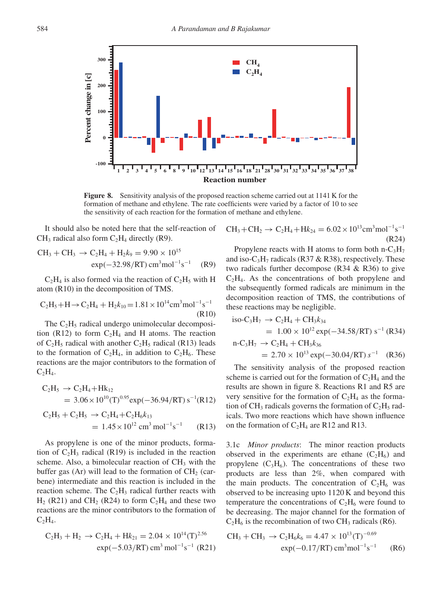

**Figure 8.** Sensitivity analysis of the proposed reaction scheme carried out at 1141 K for the formation of methane and ethylene. The rate coefficients were varied by a factor of 10 to see the sensitivity of each reaction for the formation of methane and ethylene.

It should also be noted here that the self-reaction of  $CH<sub>3</sub>$  radical also form  $C<sub>2</sub>H<sub>4</sub>$  directly (R9).

$$
CH3 + CH3 \rightarrow C2H4 + H2k9 = 9.90 \times 1015
$$
  
exp(-32.98/RT) cm<sup>3</sup>mol<sup>-1</sup>s<sup>-1</sup> (R9)

 $C_2H_4$  is also formed via the reaction of  $C_2H_5$  with H atom (R10) in the decomposition of TMS.

$$
C_2H_5 + H \rightarrow C_2H_4 + H_2k_{10} = 1.81 \times 10^{14} \text{cm}^3 \text{mol}^{-1} \text{s}^{-1}
$$
\n(R10)

The  $C_2H_5$  radical undergo unimolecular decomposition (R12) to form  $C_2H_4$  and H atoms. The reaction of  $C_2H_5$  radical with another  $C_2H_5$  radical (R13) leads to the formation of  $C_2H_4$ , in addition to  $C_2H_6$ . These reactions are the major contributors to the formation of  $C_2H_4$ .

$$
C_2H_5 \rightarrow C_2H_4 + Hk_{12}
$$
  
= 3.06×10<sup>10</sup>(T)<sup>0.95</sup>exp(-36.94/RT) s<sup>-1</sup>(R12)

$$
C_2H_5 + C_2H_5 \rightarrow C_2H_4 + C_2H_6k_{13}
$$
  
= 1.45 × 10<sup>12</sup> cm<sup>3</sup> mol<sup>-1</sup>s<sup>-1</sup> (R13)

As propylene is one of the minor products, formation of  $C_2H_3$  radical (R19) is included in the reaction scheme. Also, a bimolecular reaction of  $CH<sub>3</sub>$  with the buffer gas (Ar) will lead to the formation of  $CH<sub>2</sub>$  (carbene) intermediate and this reaction is included in the reaction scheme. The  $C_2H_3$  radical further reacts with  $H_2$  (R21) and CH<sub>2</sub> (R24) to form C<sub>2</sub>H<sub>4</sub> and these two reactions are the minor contributors to the formation of  $C_2H_4$ .

$$
C_2H_3 + H_2 \rightarrow C_2H_4 + Hk_{21} = 2.04 \times 10^{14} (T)^{2.56}
$$
  
exp(-5.03/RT) cm<sup>3</sup> mol<sup>-1</sup>s<sup>-1</sup> (R21)

 $CH_3 + CH_2 \rightarrow C_2H_4 + Hk_{24} = 6.02 \times 10^{13} \text{cm}^3 \text{mol}^{-1} \text{s}^{-1}$ (R24)

Propylene reacts with H atoms to form both  $n-C_3H_7$ and iso-C<sub>3</sub>H<sub>7</sub> radicals (R37 & R38), respectively. These two radicals further decompose  $(R34 \& R36)$  to give  $C_2H_4$ . As the concentrations of both propylene and the subsequently formed radicals are minimum in the decomposition reaction of TMS, the contributions of these reactions may be negligible.

$$
iso-C_3H_7 \rightarrow C_2H_4 + CH_3k_{34}
$$
  
= 1.00 × 10<sup>12</sup> exp(-34.58/RT) s<sup>-1</sup> (R34)  
n-C<sub>3</sub>H<sub>7</sub> → C<sub>2</sub>H<sub>4</sub> + CH<sub>3</sub>k<sub>36</sub>  
= 2.70 × 10<sup>13</sup> exp(-30.04/RT) s<sup>-1</sup> (R36)

The sensitivity analysis of the proposed reaction scheme is carried out for the formation of  $C_2H_4$  and the results are shown in figure 8. Reactions R1 and R5 are very sensitive for the formation of  $C_2H_4$  as the formation of  $CH_3$  radicals governs the formation of  $C_2H_5$  radicals. Two more reactions which have shown influence on the formation of  $C_2H_4$  are R12 and R13.

3.1c *Minor products*: The minor reaction products observed in the experiments are ethane  $(C<sub>2</sub>H<sub>6</sub>)$  and propylene  $(C_3H_6)$ . The concentrations of these two products are less than 2%, when compared with the main products. The concentration of  $C_2H_6$  was observed to be increasing upto 1120 K and beyond this temperature the concentrations of  $C_2H_6$  were found to be decreasing. The major channel for the formation of  $C_2H_6$  is the recombination of two CH<sub>3</sub> radicals (R6).

$$
CH_3 + CH_3 \rightarrow C_2H_6k_6 = 4.47 \times 10^{13} (T)^{-0.69}
$$
  
exp(-0.17/RT) cm<sup>3</sup>mol<sup>-1</sup>s<sup>-1</sup> (R6)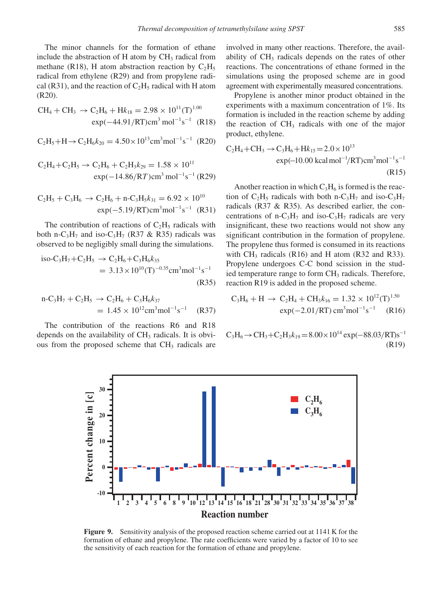The minor channels for the formation of ethane include the abstraction of H atom by  $CH<sub>3</sub>$  radical from methane (R18), H atom abstraction reaction by  $C_2H_5$ radical from ethylene (R29) and from propylene radical (R31), and the reaction of  $C_2H_5$  radical with H atom (R20).

$$
CH_4 + CH_3 \rightarrow C_2H_6 + Hk_{18} = 2.98 \times 10^{11} (T)^{1.00}
$$
  
exp(-44.91/RT)cm<sup>3</sup> mol<sup>-1</sup>s<sup>-1</sup> (R18)

$$
C_2H_5 + H \rightarrow C_2H_6k_{20} = 4.50 \times 10^{13} \text{cm}^3 \text{mol}^{-1} \text{s}^{-1} \text{ (R20)}
$$

$$
C_2H_4 + C_2H_5 \rightarrow C_2H_6 + C_2H_3k_{29} = 1.58 \times 10^{11}
$$
  
exp(-14.86/RT)cm<sup>3</sup> mol<sup>-1</sup>s<sup>-1</sup> (R29)

$$
C_2H_5 + C_3H_6 \rightarrow C_2H_6 + n - C_3H_5k_{31} = 6.92 \times 10^{10}
$$
  
exp(-5.19/RT)cm<sup>3</sup>mol<sup>-1</sup>s<sup>-1</sup> (R31)

The contribution of reactions of  $C_2H_5$  radicals with both n-C<sub>3</sub>H<sub>7</sub> and iso-C<sub>3</sub>H<sub>7</sub> (R37 & R35) radicals was observed to be negligibly small during the simulations.

iso-C<sub>3</sub>H<sub>7</sub>+C<sub>2</sub>H<sub>5</sub> 
$$
\rightarrow
$$
 C<sub>2</sub>H<sub>6</sub>+C<sub>3</sub>H<sub>6</sub>k<sub>35</sub>  
= 3.13 × 10<sup>10</sup>(T)<sup>-0.35</sup>cm<sup>3</sup>mol<sup>-1</sup>s<sup>-1</sup>  
(R35)

$$
n-C_3H_7 + C_2H_5 \rightarrow C_2H_6 + C_3H_6k_{37}
$$
  
= 1.45 × 10<sup>12</sup>cm<sup>3</sup>mol<sup>-1</sup>s<sup>-1</sup> (R37)

The contribution of the reactions R6 and R18 depends on the availability of  $CH<sub>3</sub>$  radicals. It is obvious from the proposed scheme that  $CH<sub>3</sub>$  radicals are involved in many other reactions. Therefore, the availability of  $CH<sub>3</sub>$  radicals depends on the rates of other reactions. The concentrations of ethane formed in the simulations using the proposed scheme are in good agreement with experimentally measured concentrations.

Propylene is another minor product obtained in the experiments with a maximum concentration of 1%. Its formation is included in the reaction scheme by adding the reaction of  $CH<sub>3</sub>$  radicals with one of the major product, ethylene.

$$
C_2H_4 + CH_3 \rightarrow C_3H_6 + Hk_{15} = 2.0 \times 10^{13}
$$
  
exp(-10.00 kcal mol<sup>-1</sup>/RT)cm<sup>3</sup>mol<sup>-1</sup>s<sup>-1</sup>  
(R15)

Another reaction in which  $C_3H_6$  is formed is the reaction of  $C_2H_5$  radicals with both n-C<sub>3</sub>H<sub>7</sub> and iso-C<sub>3</sub>H<sub>7</sub> radicals (R37 & R35). As described earlier, the concentrations of n-C<sub>3</sub>H<sub>7</sub> and iso-C<sub>3</sub>H<sub>7</sub> radicals are very insignificant, these two reactions would not show any significant contribution in the formation of propylene. The propylene thus formed is consumed in its reactions with  $CH<sub>3</sub>$  radicals (R16) and H atom (R32 and R33). Propylene undergoes C-C bond scission in the studied temperature range to form  $CH<sub>3</sub>$  radicals. Therefore, reaction R19 is added in the proposed scheme.

$$
C_3H_6 + H \rightarrow C_2H_4 + CH_3k_{16} = 1.32 \times 10^{12} (T)^{1.50}
$$
  
exp(-2.01/RT) cm<sup>3</sup>mol<sup>-1</sup>s<sup>-1</sup> (R16)

$$
C_3H_6 \to CH_3 + C_2H_3k_{19} = 8.00 \times 10^{14} \exp(-88.03/RT)s^{-1}
$$
\n(R19)



**Figure 9.** Sensitivity analysis of the proposed reaction scheme carried out at 1141 K for the formation of ethane and propylene. The rate coefficients were varied by a factor of 10 to see the sensitivity of each reaction for the formation of ethane and propylene.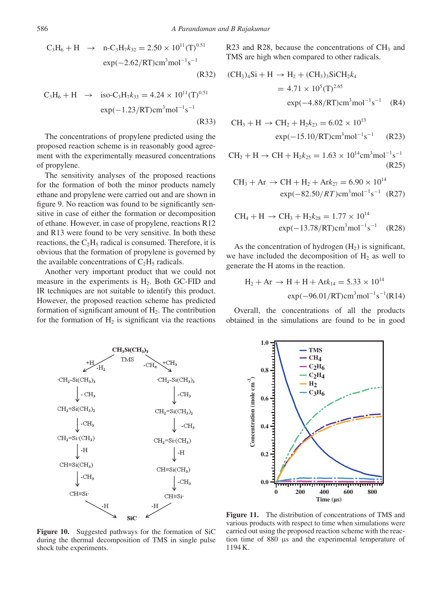$$
C_3H_6 + H \rightarrow n-C_3H_7k_{32} = 2.50 \times 10^{11} (T)^{0.51}
$$
  
exp(-2.62/RT)cm<sup>3</sup>mol<sup>-1</sup>s<sup>-1</sup> (R32)

$$
C_3H_6 + H \rightarrow \text{iso-C}_3H_7k_{33} = 4.24 \times 10^{11}(\text{T})^{0.51}
$$
  
exp(-1.23/RT)cm<sup>3</sup>mol<sup>-1</sup>s<sup>-1</sup> (R33)

The concentrations of propylene predicted using the proposed reaction scheme is in reasonably good agreement with the experimentally measured concentrations of propylene.

The sensitivity analyses of the proposed reactions for the formation of both the minor products namely ethane and propylene were carried out and are shown in figure 9. No reaction was found to be significantly sensitive in case of either the formation or decomposition of ethane. However, in case of propylene, reactions R12 and R13 were found to be very sensitive. In both these reactions, the  $C_2H_5$  radical is consumed. Therefore, it is obvious that the formation of propylene is governed by the available concentrations of  $C_2H_5$  radicals.

Another very important product that we could not measure in the experiments is  $H<sub>2</sub>$ . Both GC-FID and IR techniques are not suitable to identify this product. However, the proposed reaction scheme has predicted formation of significant amount of  $H<sub>2</sub>$ . The contribution for the formation of  $H_2$  is significant via the reactions

R23 and R28, because the concentrations of  $CH<sub>3</sub>$  and TMS are high when compared to other radicals.

$$
(CH3)4Si + H \rightarrow H2 + (CH3)3SiCH2k4
$$
  
= 4.71 × 10<sup>5</sup> (T)<sup>2.65</sup>  
exp(-4.88/RT)cm<sup>3</sup>mol<sup>-1</sup>s<sup>-1</sup> (R4)

$$
CH3 + H \rightarrow CH2 + H2k23 = 6.02 \times 1013
$$
  
exp(-15.10/RT)cm<sup>3</sup>mol<sup>-1</sup>s<sup>-1</sup> (R23)

 $CH_2 + H \rightarrow CH + H_2 k_{25} = 1.63 \times 10^{14} \text{cm}^3 \text{mol}^{-1} \text{s}^{-1}$ (R25)

$$
CH3 + Ar \rightarrow CH + H2 + Ark27 = 6.90 \times 1014
$$
  
exp(-82.50/RT)cm<sup>3</sup>mol<sup>-1</sup>s<sup>-1</sup> (R27)

$$
CH_4 + H \rightarrow CH_3 + H_2 k_{28} = 1.77 \times 10^{14}
$$
  
exp(-13.78/RT)cm<sup>3</sup>mol<sup>-1</sup>s<sup>-1</sup> (R28)

As the concentration of hydrogen  $(H_2)$  is significant, we have included the decomposition of  $H_2$  as well to generate the H atoms in the reaction.

$$
H_2 + Ar \rightarrow H + H + Ark_{14} = 5.33 \times 10^{14}
$$
  
exp(-96.01/RT)cm<sup>3</sup>mol<sup>-1</sup>s<sup>-1</sup>(R14)

Overall, the concentrations of all the products obtained in the simulations are found to be in good



H--H **SiC Figure 10.** Suggested pathways for the formation of SiC during the thermal decomposition of TMS in single pulse shock tube experiments.

 $CH = Si$ 

**Figure 11.** The distribution of concentrations of TMS and various products with respect to time when simulations were carried out using the proposed reaction scheme with the reaction time of 880 μs and the experimental temperature of 1194 K.

CH<sub>2</sub>Si(CH<sub>2</sub>) TMS  $+CH<sub>3</sub>$  $\cdot$ CH<sub>2</sub>-Si(CH<sub>3</sub>)<sub>3</sub>  $\cdot$ CH<sub>2</sub>-Si(CH<sub>3</sub>)<sub>3</sub>  $CH<sub>2</sub>=Si(CH<sub>3</sub>)$  $CH<sub>2</sub>=Si(CH<sub>3</sub>)$ CH,  $CH<sub>2</sub>=Si·(CH<sub>3</sub>)$  $CH<sub>2</sub>=Si·(CH<sub>3</sub>)$ -H  $-H$  $CH \equiv SiCH_3)$ CH=Si(CH,)  $-CH<sub>3</sub>$  $-CH<sub>1</sub>$  $CH = Si$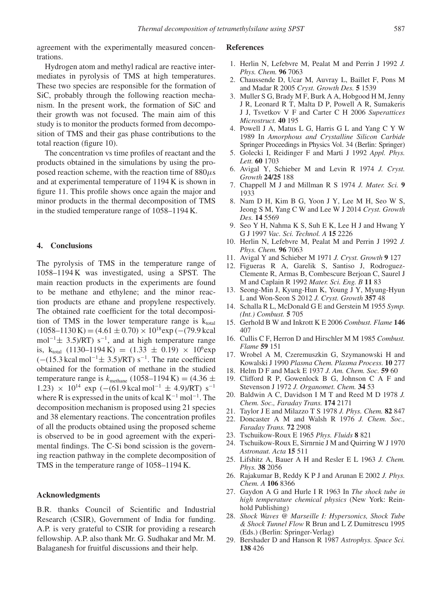agreement with the experimentally measured concentrations.

Hydrogen atom and methyl radical are reactive intermediates in pyrolysis of TMS at high temperatures. These two species are responsible for the formation of SiC, probably through the following reaction mechanism. In the present work, the formation of SiC and their growth was not focused. The main aim of this study is to monitor the products formed from decomposition of TMS and their gas phase contributions to the total reaction (figure 10).

The concentration vs time profiles of reactant and the products obtained in the simulations by using the proposed reaction scheme, with the reaction time of 880*μ*s and at experimental temperature of 1194 K is shown in figure 11. This profile shows once again the major and minor products in the thermal decomposition of TMS in the studied temperature range of 1058–1194 K.

# **4. Conclusions**

The pyrolysis of TMS in the temperature range of 1058–1194 K was investigated, using a SPST. The main reaction products in the experiments are found to be methane and ethylene; and the minor reaction products are ethane and propylene respectively. The obtained rate coefficient for the total decomposition of TMS in the lower temperature range is  $k_{total}$  $(1058-1130 \text{ K}) = (4.61 \pm 0.70) \times 10^{18} \text{exp}(-79.9 \text{ kcal})$ mol<sup>-1</sup> $\pm$  3.5)/RT) s<sup>-1</sup>, and at high temperature range is,  $k_{total}$  (1130–1194 K) = (1.33  $\pm$  0.19)  $\times$  10<sup>6</sup>exp  $(-(15.3 \text{ kcal mol}^{-1} \pm 3.5)/RT)$  s<sup>-1</sup>. The rate coefficient obtained for the formation of methane in the studied temperature range is  $k_{\text{methane}}$  (1058–1194 K) = (4.36  $\pm$ 1.23) × 10<sup>14</sup> exp (−(61.9 kcal mol<sup>-1</sup> ± 4.9)/RT) s<sup>-1</sup> where R is expressed in the units of kcal  $K^{-1}$  mol<sup>-1</sup>. The decomposition mechanism is proposed using 21 species and 38 elementary reactions. The concentration profiles of all the products obtained using the proposed scheme is observed to be in good agreement with the experimental findings. The C-Si bond scission is the governing reaction pathway in the complete decomposition of TMS in the temperature range of 1058–1194 K.

#### **Acknowledgments**

B.R. thanks Council of Scientific and Industrial Research (CSIR), Government of India for funding. A.P. is very grateful to CSIR for providing a research fellowship. A.P. also thank Mr. G. Sudhakar and Mr. M. Balaganesh for fruitful discussions and their help.

#### **References**

- 1. Herlin N, Lefebvre M, Pealat M and Perrin J 1992 *J. Phys. Chem.* **96** 7063
- 2. Chaussende D, Ucar M, Auvray L, Baillet F, Pons M and Madar R 2005 *Cryst. Growth Des.* **5** 1539
- 3. Muller S G, Brady M F, Burk A A, Hobgood H M, Jenny J R, Leonard R T, Malta D P, Powell A R, Sumakeris J J, Tsvetkov V F and Carter C H 2006 *Superattices Microstruct.* **40** 195
- 4. Powell J A, Matus L G, Harris G L and Yang C Y W 1989 In *Amorphous and Crystalline Silicon Carbide* Springer Proceedings in Physics Vol. 34 (Berlin: Springer)
- 5. Golecki I, Reidinger F and Marti J 1992 *Appl. Phys. Lett.* **60** 1703
- 6. Avigal Y, Schieber M and Levin R 1974 *J. Cryst. Growth* **24/25** 188
- 7. Chappell M J and Millman R S 1974 *J. Mater. Sci.* **9** 1933
- 8. Nam D H, Kim B G, Yoon J Y, Lee M H, Seo W S, Jeong S M, Yang C W and Lee W J 2014 *Cryst. Growth Des.* **14** 5569
- 9. Seo Y H, Nahma K S, Suh E K, Lee H J and Hwang Y G J 1997 *Vac. Sci. Technol. A* **15** 2226
- 10. Herlin N, Lefebvre M, Pealat M and Perrin J 1992 *J. Phys. Chem.* **96** 7063
- 11. Avigal Y and Schieber M 1971 *J. Cryst. Growth* **9** 127
- 12. Figueras R A, Garelik S, Santiso J, Rodroguez-Clemente R, Armas B, Combescure Berjoan C, Saurel J M and Caplain R 1992 *Mater. Sci. Eng. B* **11** 83
- 13. Seong-Min J, Kyung-Hun K, Young J Y, Myung-Hyun L and Won-Seon S 2012 *J. Cryst. Growth* **357** 48
- 14. Schalla R L, McDonald G E and Gerstein M 1955 *Symp. (Int.) Combust.* **5** 705
- 15. Gerhold B W and Inkrott K E 2006 *Combust. Flame* **146** 407
- 16. Cullis C F, Herron D and Hirschler M M 1985 *Combust. Flame* **59** 151
- 17. Wrobel A M, Czeremuszkin G, Szymanowski H and Kowalski J 1990 *Plasma Chem. Plasma Process.* **10** 277
- 18. Helm D F and Mack E 1937 *J. Am. Chem. Soc.* **59** 60
- 19. Clifford R P, Gowenlock B G, Johnson C A F and Stevenson J 1972 *J. Organomet. Chem.* **34** 53
- 20. Baldwin A C, Davidson I M T and Reed M D 1978 *J. Chem. Soc., Faraday Trans.* **174** 2171
- 21. Taylor J E and Milazzo T S 1978 *J. Phys. Chem.* **82** 847
- 22. Doncaster A M and Walsh R 1976 *J. Chem. Soc., Faraday Trans.* **72** 2908
- 23. Tschuikow-Roux E 1965 *Phys. Fluids* **8** 821
- 24. Tschuikow-Roux E, Sirnrnie J M and Quirring W J 1970 *Astronaut. Acta* **15** 511
- 25. Lifshitz A, Bauer A H and Resler E L 1963 *J. Chem. Phys.* **38** 2056
- 26. Rajakumar B, Reddy K P J and Arunan E 2002 *J. Phys. Chem. A* **106** 8366
- 27. Gaydon A G and Hurle I R 1963 In *The shock tube in high temperature chemical physics* (New York: Reinhold Publishing)
- 28. *Shock Waves @ Marseille I: Hypersonics, Shock Tube & Shock Tunnel Flow* R Brun and L Z Dumitrescu 1995 (Eds.) (Berlin: Springer-Verlag)
- 29. Bershader D and Hanson R 1987 *Astrophys. Space Sci.* **138** 426